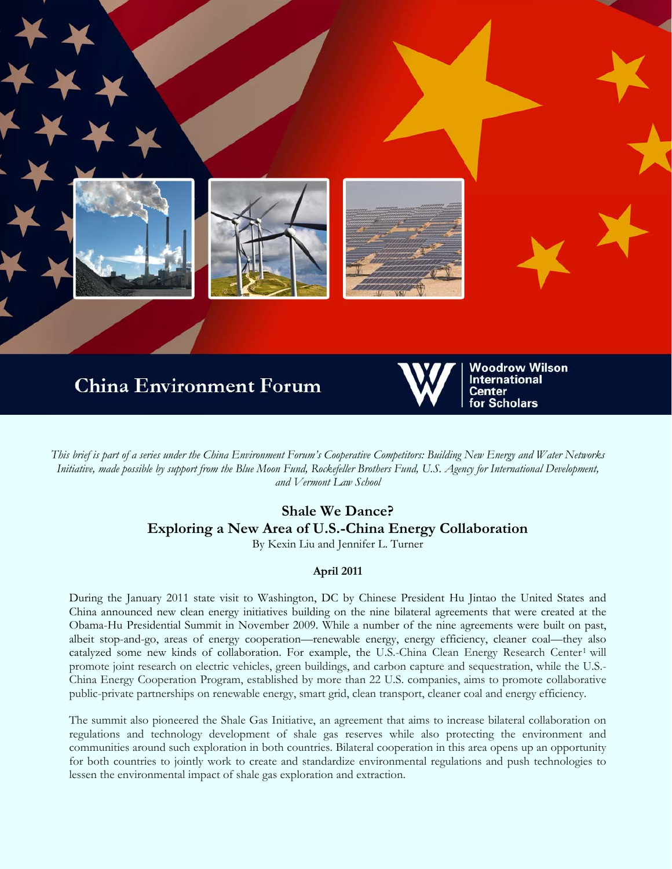

*This brief is part of a series under the China Environment Forum's Cooperative Competitors: Building New Energy and Water Networks Initiative, made possible by support from the Blue Moon Fund, Rockefeller Brothers Fund, U.S. Agency for International Development, and Vermont Law School* 

# **Shale We Dance? Exploring a New Area of U.S.-China Energy Collaboration**

By Kexin Liu and Jennifer L. Turner

# **April 2011**

During the January 2011 state visit to Washington, DC by Chinese President Hu Jintao the United States and China announced new clean energy initiatives building on the nine bilateral agreements that were created at the Obama-Hu Presidential Summit in November 2009. While a number of the nine agreements were built on past, albeit stop-and-go, areas of energy cooperation—renewable energy, energy efficiency, cleaner coal—they also catalyzed some new kinds of collaboration. For example, the U.S.-China Clean Energy Research Center<sup>1</sup> will promote joint research on electric vehicles, green buildings, and carbon capture and sequestration, while the U.S.- China Energy Cooperation Program, established by more than 22 U.S. companies, aims to promote collaborative public-private partnerships on renewable energy, smart grid, clean transport, cleaner coal and energy efficiency.

The summit also pioneered the Shale Gas Initiative, an agreement that aims to increase bilateral collaboration on regulations and technology development of shale gas reserves while also protecting the environment and communities around such exploration in both countries. Bilateral cooperation in this area opens up an opportunity for both countries to jointly work to create and standardize environmental regulations and push technologies to lessen the environmental impact of shale gas exploration and extraction.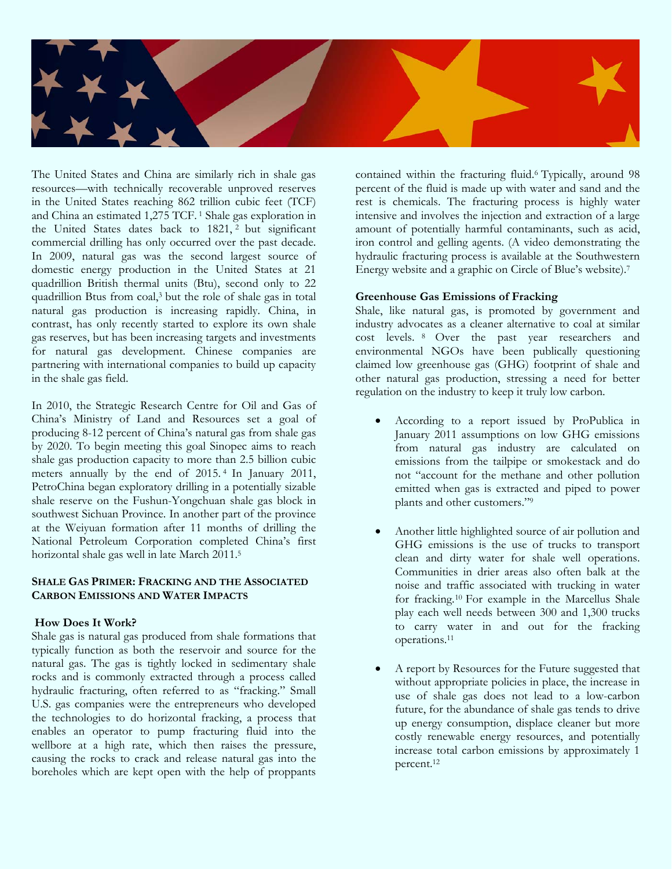

The United States and China are similarly rich in shale gas resources—with technically recoverable unproved reserves in the United States reaching 862 trillion cubic feet (TCF) and China an estimated 1,275 TCF. 1 Shale gas exploration in the United States dates back to 1821,<sup>2</sup> but significant commercial drilling has only occurred over the past decade. In 2009, natural gas was the second largest source of domestic energy production in the United States at 21 quadrillion British thermal units (Btu), second only to 22 quadrillion Btus from coal,3 but the role of shale gas in total natural gas production is increasing rapidly. China, in contrast, has only recently started to explore its own shale gas reserves, but has been increasing targets and investments for natural gas development. Chinese companies are partnering with international companies to build up capacity in the shale gas field.

In 2010, the Strategic Research Centre for Oil and Gas of China's Ministry of Land and Resources set a goal of producing 8-12 percent of China's natural gas from shale gas by 2020. To begin meeting this goal Sinopec aims to reach shale gas production capacity to more than 2.5 billion cubic meters annually by the end of 2015. 4 In January 2011, PetroChina began exploratory drilling in a potentially sizable shale reserve on the Fushun-Yongchuan shale gas block in southwest Sichuan Province. In another part of the province at the Weiyuan formation after 11 months of drilling the National Petroleum Corporation completed China's first horizontal shale gas well in late March 2011.5

#### **SHALE GAS PRIMER: FRACKING AND THE ASSOCIATED CARBON EMISSIONS AND WATER IMPACTS**

# **How Does It Work?**

Shale gas is natural gas produced from shale formations that typically function as both the reservoir and source for the natural gas. The gas is tightly locked in sedimentary shale rocks and is commonly extracted through a process called hydraulic fracturing, often referred to as "fracking." Small U.S. gas companies were the entrepreneurs who developed the technologies to do horizontal fracking, a process that enables an operator to pump fracturing fluid into the wellbore at a high rate, which then raises the pressure, causing the rocks to crack and release natural gas into the boreholes which are kept open with the help of proppants

contained within the fracturing fluid.6 Typically, around 98 percent of the fluid is made up with water and sand and the rest is chemicals. The fracturing process is highly water intensive and involves the injection and extraction of a large amount of potentially harmful contaminants, such as acid, iron control and gelling agents. (A video demonstrating the hydraulic fracturing process is available at the Southwestern Energy website and a graphic on Circle of Blue's website).7

#### **Greenhouse Gas Emissions of Fracking**

Shale, like natural gas, is promoted by government and industry advocates as a cleaner alternative to coal at similar cost levels. 8 Over the past year researchers and environmental NGOs have been publically questioning claimed low greenhouse gas (GHG) footprint of shale and other natural gas production, stressing a need for better regulation on the industry to keep it truly low carbon.

- According to a report issued by ProPublica in January 2011 assumptions on low GHG emissions from natural gas industry are calculated on emissions from the tailpipe or smokestack and do not "account for the methane and other pollution emitted when gas is extracted and piped to power plants and other customers."9
- Another little highlighted source of air pollution and GHG emissions is the use of trucks to transport clean and dirty water for shale well operations. Communities in drier areas also often balk at the noise and traffic associated with trucking in water for fracking.10 For example in the Marcellus Shale play each well needs between 300 and 1,300 trucks to carry water in and out for the fracking operations.11
- A report by Resources for the Future suggested that without appropriate policies in place, the increase in use of shale gas does not lead to a low-carbon future, for the abundance of shale gas tends to drive up energy consumption, displace cleaner but more costly renewable energy resources, and potentially increase total carbon emissions by approximately 1 percent.12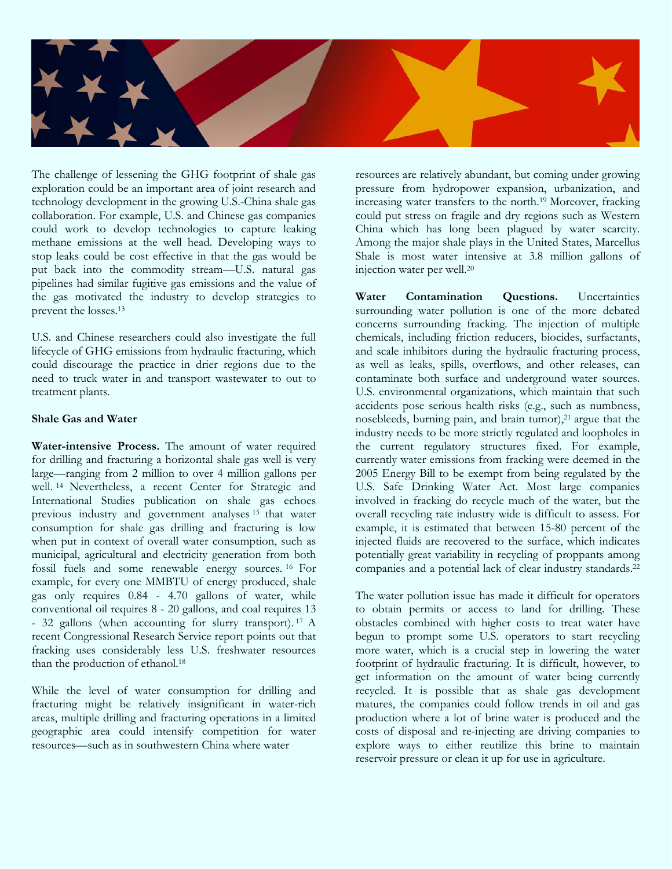

The challenge of lessening the GHG footprint of shale gas exploration could be an important area of joint research and technology development in the growing U.S.-China shale gas collaboration. For example, U.S. and Chinese gas companies could work to develop technologies to capture leaking methane emissions at the well head. Developing ways to stop leaks could be cost effective in that the gas would be put back into the commodity stream—U.S. natural gas pipelines had similar fugitive gas emissions and the value of the gas motivated the industry to develop strategies to prevent the losses.13

U.S. and Chinese researchers could also investigate the full lifecycle of GHG emissions from hydraulic fracturing, which could discourage the practice in drier regions due to the need to truck water in and transport wastewater to out to treatment plants.

#### **Shale Gas and Water**

**Water-intensive Process.** The amount of water required for drilling and fracturing a horizontal shale gas well is very large—ranging from 2 million to over 4 million gallons per well. 14 Nevertheless, a recent Center for Strategic and International Studies publication on shale gas echoes previous industry and government analyses 15 that water consumption for shale gas drilling and fracturing is low when put in context of overall water consumption, such as municipal, agricultural and electricity generation from both fossil fuels and some renewable energy sources. 16 For example, for every one MMBTU of energy produced, shale gas only requires 0.84 - 4.70 gallons of water, while conventional oil requires 8 - 20 gallons, and coal requires 13 - 32 gallons (when accounting for slurry transport). 17 A recent Congressional Research Service report points out that fracking uses considerably less U.S. freshwater resources than the production of ethanol.<sup>18</sup>

While the level of water consumption for drilling and fracturing might be relatively insignificant in water-rich areas, multiple drilling and fracturing operations in a limited geographic area could intensify competition for water resources—such as in southwestern China where water

resources are relatively abundant, but coming under growing pressure from hydropower expansion, urbanization, and increasing water transfers to the north.19 Moreover, fracking could put stress on fragile and dry regions such as Western China which has long been plagued by water scarcity. Among the major shale plays in the United States, Marcellus Shale is most water intensive at 3.8 million gallons of injection water per well.20

**Water Contamination Questions.** Uncertainties surrounding water pollution is one of the more debated concerns surrounding fracking. The injection of multiple chemicals, including friction reducers, biocides, surfactants, and scale inhibitors during the hydraulic fracturing process, as well as leaks, spills, overflows, and other releases, can contaminate both surface and underground water sources. U.S. environmental organizations, which maintain that such accidents pose serious health risks (e.g., such as numbness, nosebleeds, burning pain, and brain tumor),<sup>21</sup> argue that the industry needs to be more strictly regulated and loopholes in the current regulatory structures fixed. For example, currently water emissions from fracking were deemed in the 2005 Energy Bill to be exempt from being regulated by the U.S. Safe Drinking Water Act. Most large companies involved in fracking do recycle much of the water, but the overall recycling rate industry wide is difficult to assess. For example, it is estimated that between 15-80 percent of the injected fluids are recovered to the surface, which indicates potentially great variability in recycling of proppants among companies and a potential lack of clear industry standards.22

The water pollution issue has made it difficult for operators to obtain permits or access to land for drilling. These obstacles combined with higher costs to treat water have begun to prompt some U.S. operators to start recycling more water, which is a crucial step in lowering the water footprint of hydraulic fracturing. It is difficult, however, to get information on the amount of water being currently recycled. It is possible that as shale gas development matures, the companies could follow trends in oil and gas production where a lot of brine water is produced and the costs of disposal and re-injecting are driving companies to explore ways to either reutilize this brine to maintain reservoir pressure or clean it up for use in agriculture.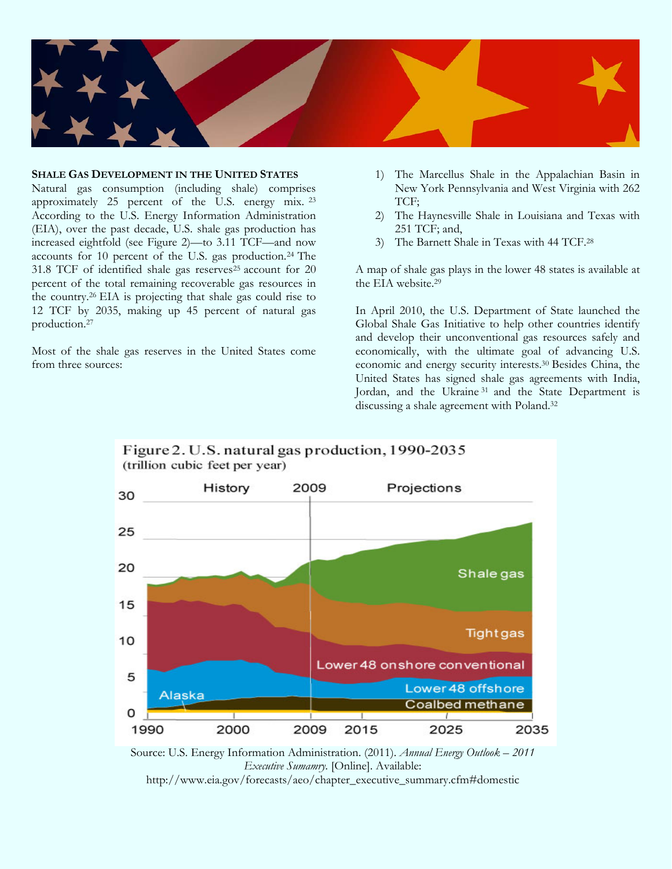

#### **SHALE GAS DEVELOPMENT IN THE UNITED STATES**

Natural gas consumption (including shale) comprises approximately 25 percent of the U.S. energy mix. <sup>23</sup> According to the U.S. Energy Information Administration (EIA), over the past decade, U.S. shale gas production has increased eightfold (see Figure 2)—to 3.11 TCF—and now accounts for 10 percent of the U.S. gas production.24 The 31.8 TCF of identified shale gas reserves<sup>25</sup> account for 20 percent of the total remaining recoverable gas resources in the country.26 EIA is projecting that shale gas could rise to 12 TCF by 2035, making up 45 percent of natural gas production.27

Most of the shale gas reserves in the United States come from three sources:

- 1) The Marcellus Shale in the Appalachian Basin in New York Pennsylvania and West Virginia with 262 TCF;
- 2) The Haynesville Shale in Louisiana and Texas with 251 TCF; and,
- 3) The Barnett Shale in Texas with 44 TCF.28

A map of shale gas plays in the lower 48 states is available at the EIA website.29

In April 2010, the U.S. Department of State launched the Global Shale Gas Initiative to help other countries identify and develop their unconventional gas resources safely and economically, with the ultimate goal of advancing U.S. economic and energy security interests.30 Besides China, the United States has signed shale gas agreements with India, Jordan, and the Ukraine 31 and the State Department is discussing a shale agreement with Poland.32



Source: U.S. Energy Information Administration. (2011). *Annual Energy Outlook – 2011 Executive Sumamry.* [Online]. Available:

http://www.eia.gov/forecasts/aeo/chapter\_executive\_summary.cfm#domestic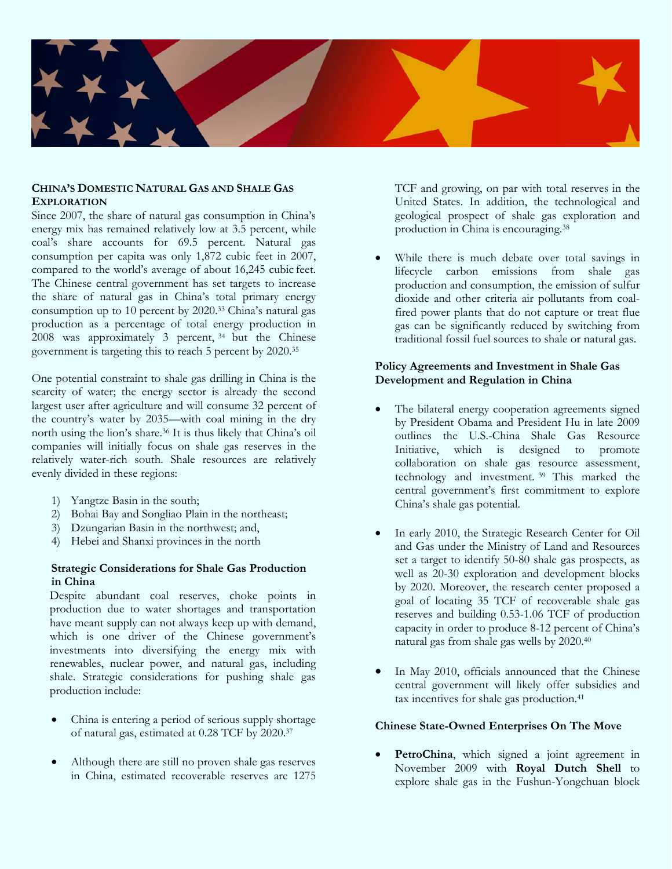

#### **CHINA'S DOMESTIC NATURAL GAS AND SHALE GAS EXPLORATION**

Since 2007, the share of natural gas consumption in China's energy mix has remained relatively low at 3.5 percent, while coal's share accounts for 69.5 percent. Natural gas consumption per capita was only 1,872 cubic feet in 2007, compared to the world's average of about 16,245 cubic feet. The Chinese central government has set targets to increase the share of natural gas in China's total primary energy consumption up to 10 percent by 2020.33 China's natural gas production as a percentage of total energy production in 2008 was approximately 3 percent, 34 but the Chinese government is targeting this to reach 5 percent by 2020.35

One potential constraint to shale gas drilling in China is the scarcity of water; the energy sector is already the second largest user after agriculture and will consume 32 percent of the country's water by 2035—with coal mining in the dry north using the lion's share.36 It is thus likely that China's oil companies will initially focus on shale gas reserves in the relatively water-rich south. Shale resources are relatively evenly divided in these regions:

- 1) Yangtze Basin in the south;
- 2) Bohai Bay and Songliao Plain in the northeast;
- 3) Dzungarian Basin in the northwest; and,
- 4) Hebei and Shanxi provinces in the north

# **Strategic Considerations for Shale Gas Production in China**

Despite abundant coal reserves, choke points in production due to water shortages and transportation have meant supply can not always keep up with demand, which is one driver of the Chinese government's investments into diversifying the energy mix with renewables, nuclear power, and natural gas, including shale. Strategic considerations for pushing shale gas production include:

- China is entering a period of serious supply shortage of natural gas, estimated at 0.28 TCF by 2020.37
- Although there are still no proven shale gas reserves in China, estimated recoverable reserves are 1275

TCF and growing, on par with total reserves in the United States. In addition, the technological and geological prospect of shale gas exploration and production in China is encouraging.38

While there is much debate over total savings in lifecycle carbon emissions from shale gas production and consumption, the emission of sulfur dioxide and other criteria air pollutants from coalfired power plants that do not capture or treat flue gas can be significantly reduced by switching from traditional fossil fuel sources to shale or natural gas.

#### **Policy Agreements and Investment in Shale Gas Development and Regulation in China**

- The bilateral energy cooperation agreements signed by President Obama and President Hu in late 2009 outlines the U.S.-China Shale Gas Resource Initiative, which is designed to promote collaboration on shale gas resource assessment, technology and investment. 39 This marked the central government's first commitment to explore China's shale gas potential.
- In early 2010, the Strategic Research Center for Oil and Gas under the Ministry of Land and Resources set a target to identify 50-80 shale gas prospects, as well as 20-30 exploration and development blocks by 2020. Moreover, the research center proposed a goal of locating 35 TCF of recoverable shale gas reserves and building 0.53-1.06 TCF of production capacity in order to produce 8-12 percent of China's natural gas from shale gas wells by 2020.40
- In May 2010, officials announced that the Chinese central government will likely offer subsidies and tax incentives for shale gas production.<sup>41</sup>

# **Chinese State-Owned Enterprises On The Move**

PetroChina, which signed a joint agreement in November 2009 with **Royal Dutch Shell** to explore shale gas in the Fushun-Yongchuan block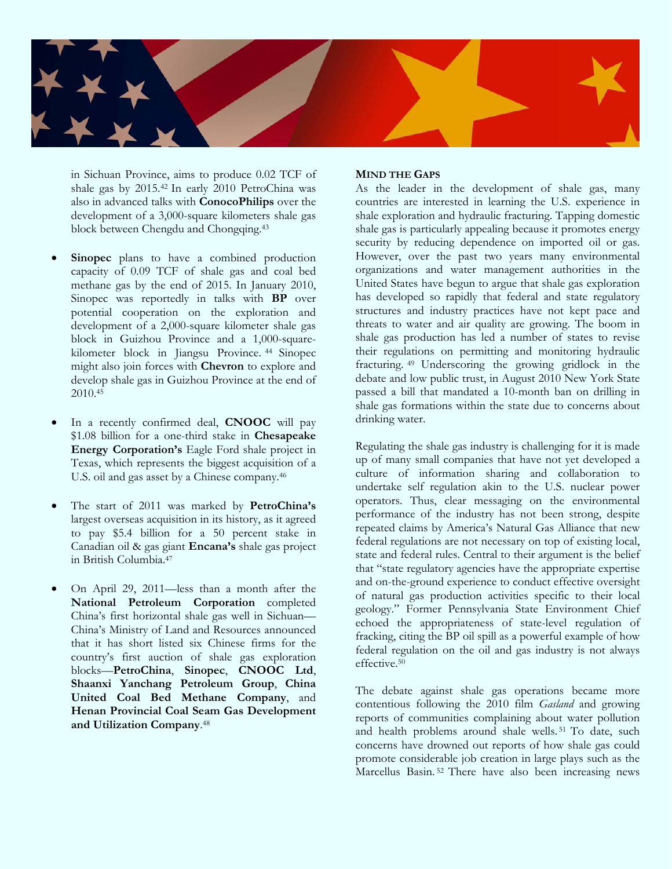

in Sichuan Province, aims to produce 0.02 TCF of shale gas by 2015.42 In early 2010 PetroChina was also in advanced talks with **ConocoPhilips** over the development of a 3,000-square kilometers shale gas block between Chengdu and Chongqing.43

- **Sinopec** plans to have a combined production capacity of 0.09 TCF of shale gas and coal bed methane gas by the end of 2015. In January 2010, Sinopec was reportedly in talks with **BP** over potential cooperation on the exploration and development of a 2,000-square kilometer shale gas block in Guizhou Province and a 1,000-squarekilometer block in Jiangsu Province. 44 Sinopec might also join forces with **Chevron** to explore and develop shale gas in Guizhou Province at the end of 2010.45
- In a recently confirmed deal, **CNOOC** will pay \$1.08 billion for a one-third stake in **Chesapeake Energy Corporation's** Eagle Ford shale project in Texas, which represents the biggest acquisition of a U.S. oil and gas asset by a Chinese company.46
- The start of 2011 was marked by **PetroChina's** largest overseas acquisition in its history, as it agreed to pay \$5.4 billion for a 50 percent stake in Canadian oil & gas giant **Encana's** shale gas project in British Columbia.47
- On April 29, 2011—less than a month after the **National Petroleum Corporation** completed China's first horizontal shale gas well in Sichuan— China's Ministry of Land and Resources announced that it has short listed six Chinese firms for the country's first auction of shale gas exploration blocks—**PetroChina**, **Sinopec**, **CNOOC Ltd**, **Shaanxi Yanchang Petroleum Group**, **China United Coal Bed Methane Company**, and **Henan Provincial Coal Seam Gas Development and Utilization Company**. 48

# **MIND THE GAPS**

As the leader in the development of shale gas, many countries are interested in learning the U.S. experience in shale exploration and hydraulic fracturing. Tapping domestic shale gas is particularly appealing because it promotes energy security by reducing dependence on imported oil or gas. However, over the past two years many environmental organizations and water management authorities in the United States have begun to argue that shale gas exploration has developed so rapidly that federal and state regulatory structures and industry practices have not kept pace and threats to water and air quality are growing. The boom in shale gas production has led a number of states to revise their regulations on permitting and monitoring hydraulic fracturing. 49 Underscoring the growing gridlock in the debate and low public trust, in August 2010 New York State passed a bill that mandated a 10-month ban on drilling in shale gas formations within the state due to concerns about drinking water.

Regulating the shale gas industry is challenging for it is made up of many small companies that have not yet developed a culture of information sharing and collaboration to undertake self regulation akin to the U.S. nuclear power operators. Thus, clear messaging on the environmental performance of the industry has not been strong, despite repeated claims by America's Natural Gas Alliance that new federal regulations are not necessary on top of existing local, state and federal rules. Central to their argument is the belief that "state regulatory agencies have the appropriate expertise and on-the-ground experience to conduct effective oversight of natural gas production activities specific to their local geology." Former Pennsylvania State Environment Chief echoed the appropriateness of state-level regulation of fracking, citing the BP oil spill as a powerful example of how federal regulation on the oil and gas industry is not always effective.50

The debate against shale gas operations became more contentious following the 2010 film *Gasland* and growing reports of communities complaining about water pollution and health problems around shale wells. 51 To date, such concerns have drowned out reports of how shale gas could promote considerable job creation in large plays such as the Marcellus Basin.<sup>52</sup> There have also been increasing news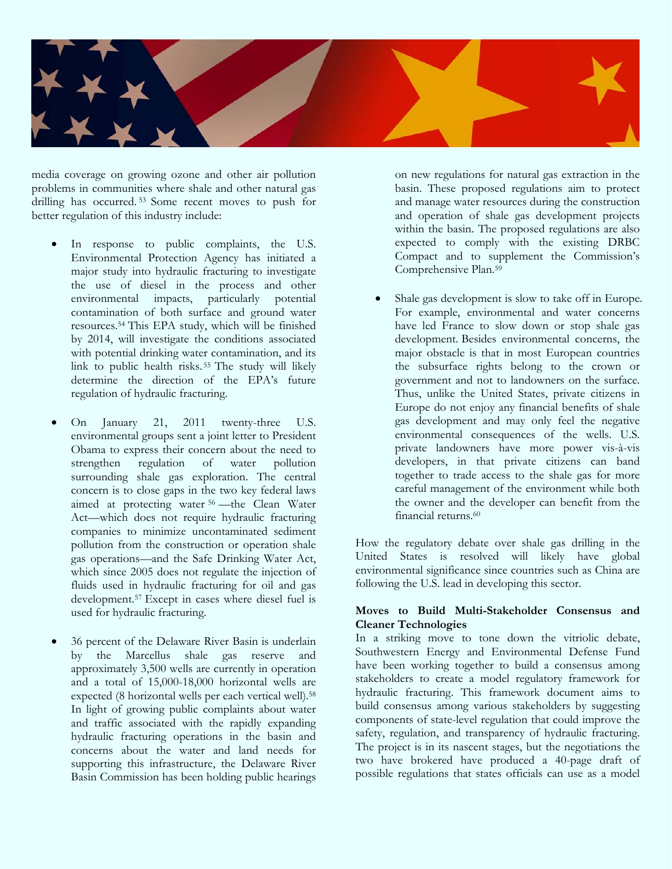

media coverage on growing ozone and other air pollution problems in communities where shale and other natural gas drilling has occurred. 53 Some recent moves to push for better regulation of this industry include:

- In response to public complaints, the U.S. Environmental Protection Agency has initiated a major study into hydraulic fracturing to investigate the use of diesel in the process and other environmental impacts, particularly potential contamination of both surface and ground water resources.54 This EPA study, which will be finished by 2014, will investigate the conditions associated with potential drinking water contamination, and its link to public health risks. 55 The study will likely determine the direction of the EPA's future regulation of hydraulic fracturing.
- On January 21, 2011 twenty-three U.S. environmental groups sent a joint letter to President Obama to express their concern about the need to strengthen regulation of water pollution surrounding shale gas exploration. The central concern is to close gaps in the two key federal laws aimed at protecting water <sup>56</sup> —the Clean Water Act—which does not require hydraulic fracturing companies to minimize uncontaminated sediment pollution from the construction or operation shale gas operations—and the Safe Drinking Water Act, which since 2005 does not regulate the injection of fluids used in hydraulic fracturing for oil and gas development.57 Except in cases where diesel fuel is used for hydraulic fracturing.
- 36 percent of the Delaware River Basin is underlain by the Marcellus shale gas reserve and approximately 3,500 wells are currently in operation and a total of 15,000-18,000 horizontal wells are expected (8 horizontal wells per each vertical well).<sup>58</sup> In light of growing public complaints about water and traffic associated with the rapidly expanding hydraulic fracturing operations in the basin and concerns about the water and land needs for supporting this infrastructure, the Delaware River Basin Commission has been holding public hearings

on new regulations for natural gas extraction in the basin. These proposed regulations aim to protect and manage water resources during the construction and operation of shale gas development projects within the basin. The proposed regulations are also expected to comply with the existing DRBC Compact and to supplement the Commission's Comprehensive Plan.59

Shale gas development is slow to take off in Europe. For example, environmental and water concerns have led France to slow down or stop shale gas development. Besides environmental concerns, the major obstacle is that in most European countries the subsurface rights belong to the crown or government and not to landowners on the surface. Thus, unlike the United States, private citizens in Europe do not enjoy any financial benefits of shale gas development and may only feel the negative environmental consequences of the wells. U.S. private landowners have more power vis-à-vis developers, in that private citizens can band together to trade access to the shale gas for more careful management of the environment while both the owner and the developer can benefit from the financial returns.60

How the regulatory debate over shale gas drilling in the United States is resolved will likely have global environmental significance since countries such as China are following the U.S. lead in developing this sector.

#### **Moves to Build Multi-Stakeholder Consensus and Cleaner Technologies**

In a striking move to tone down the vitriolic debate, Southwestern Energy and Environmental Defense Fund have been working together to build a consensus among stakeholders to create a model regulatory framework for hydraulic fracturing. This framework document aims to build consensus among various stakeholders by suggesting components of state-level regulation that could improve the safety, regulation, and transparency of hydraulic fracturing. The project is in its nascent stages, but the negotiations the two have brokered have produced a 40-page draft of possible regulations that states officials can use as a model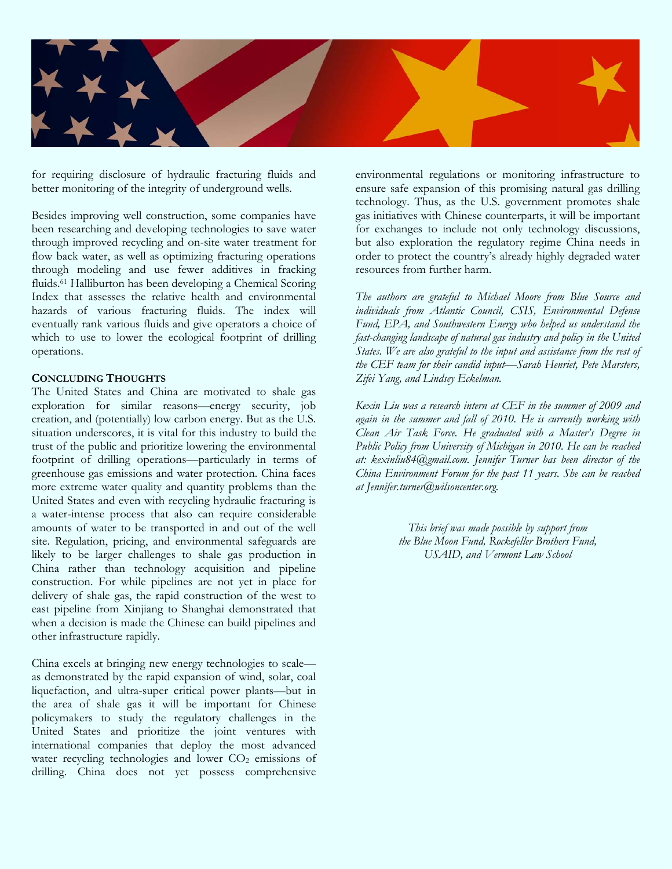

for requiring disclosure of hydraulic fracturing fluids and better monitoring of the integrity of underground wells.

Besides improving well construction, some companies have been researching and developing technologies to save water through improved recycling and on-site water treatment for flow back water, as well as optimizing fracturing operations through modeling and use fewer additives in fracking fluids.61 Halliburton has been developing a Chemical Scoring Index that assesses the relative health and environmental hazards of various fracturing fluids. The index will eventually rank various fluids and give operators a choice of which to use to lower the ecological footprint of drilling operations.

#### **CONCLUDING THOUGHTS**

The United States and China are motivated to shale gas exploration for similar reasons—energy security, job creation, and (potentially) low carbon energy. But as the U.S. situation underscores, it is vital for this industry to build the trust of the public and prioritize lowering the environmental footprint of drilling operations—particularly in terms of greenhouse gas emissions and water protection. China faces more extreme water quality and quantity problems than the United States and even with recycling hydraulic fracturing is a water-intense process that also can require considerable amounts of water to be transported in and out of the well site. Regulation, pricing, and environmental safeguards are likely to be larger challenges to shale gas production in China rather than technology acquisition and pipeline construction. For while pipelines are not yet in place for delivery of shale gas, the rapid construction of the west to east pipeline from Xinjiang to Shanghai demonstrated that when a decision is made the Chinese can build pipelines and other infrastructure rapidly.

China excels at bringing new energy technologies to scale as demonstrated by the rapid expansion of wind, solar, coal liquefaction, and ultra-super critical power plants—but in the area of shale gas it will be important for Chinese policymakers to study the regulatory challenges in the United States and prioritize the joint ventures with international companies that deploy the most advanced water recycling technologies and lower  $CO<sub>2</sub>$  emissions of drilling. China does not yet possess comprehensive

environmental regulations or monitoring infrastructure to ensure safe expansion of this promising natural gas drilling technology. Thus, as the U.S. government promotes shale gas initiatives with Chinese counterparts, it will be important for exchanges to include not only technology discussions, but also exploration the regulatory regime China needs in order to protect the country's already highly degraded water resources from further harm.

*The authors are grateful to Michael Moore from Blue Source and individuals from Atlantic Council, CSIS, Environmental Defense Fund, EPA, and Southwestern Energy who helped us understand the fast-changing landscape of natural gas industry and policy in the United States. We are also grateful to the input and assistance from the rest of the CEF team for their candid input—Sarah Henriet, Pete Marsters, Zifei Yang, and Lindsey Eckelman.* 

*Kexin Liu was a research intern at CEF in the summer of 2009 and again in the summer and fall of 2010. He is currently working with Clean Air Task Force. He graduated with a Master's Degree in Public Policy from University of Michigan in 2010. He can be reached at: kexinliu84@gmail.com. Jennifer Turner has been director of the China Environment Forum for the past 11 years. She can be reached at Jennifer.turner@wilsoncenter.org.* 

> *This brief was made possible by support from the Blue Moon Fund, Rockefeller Brothers Fund, USAID, and Vermont Law School*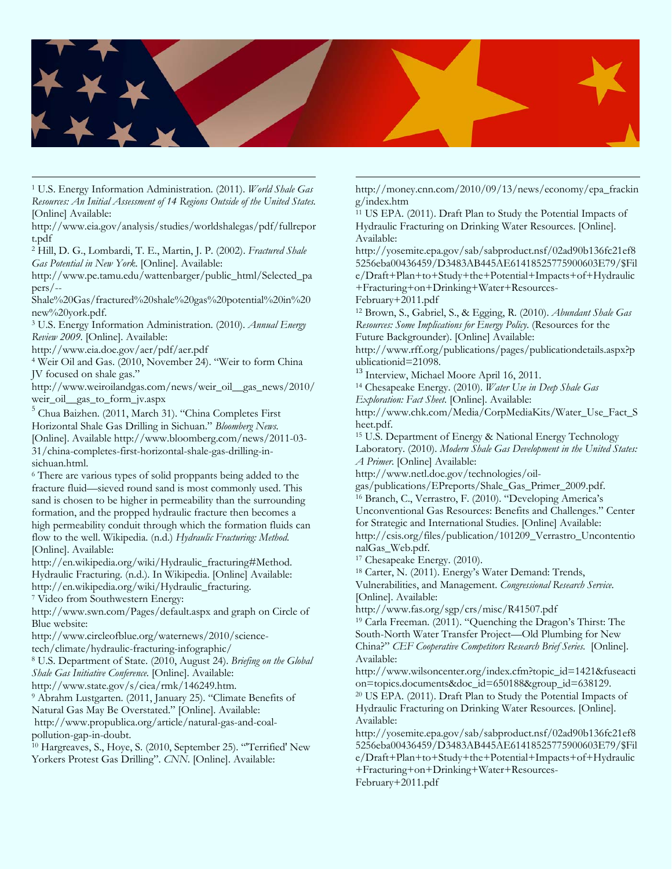

1 U.S. Energy Information Administration. (2011). *World Shale Gas Resources: An Initial Assessment of 14 Regions Outside of the United States*. [Online] Available:

http://www.eia.gov/analysis/studies/worldshalegas/pdf/fullrepor t.pdf

2 Hill, D. G., Lombardi, T. E., Martin, J. P. (2002). *Fractured Shale Gas Potential in New York*. [Online]. Available:

http://www.pe.tamu.edu/wattenbarger/public\_html/Selected\_pa pers/--

Shale%20Gas/fractured%20shale%20gas%20potential%20in%20 new%20york.pdf.

3 U.S. Energy Information Administration. (2010). *Annual Energy Review 2009*. [Online]. Available:

http://www.eia.doe.gov/aer/pdf/aer.pdf 4 Weir Oil and Gas. (2010, November 24). "Weir to form China JV focused on shale gas."

http://www.weiroilandgas.com/news/weir\_oil\_\_gas\_news/2010/ weir\_oil\_\_gas\_to\_form\_jv.aspx

5 Chua Baizhen. (2011, March 31). "China Completes First

Horizontal Shale Gas Drilling in Sichuan." *Bloomberg News.* 

[Online]. Available http://www.bloomberg.com/news/2011-03- 31/china-completes-first-horizontal-shale-gas-drilling-insichuan.html.

6 There are various types of solid proppants being added to the fracture fluid—sieved round sand is most commonly used. This sand is chosen to be higher in permeability than the surrounding formation, and the propped hydraulic fracture then becomes a high permeability conduit through which the formation fluids can flow to the well. Wikipedia. (n.d.) *Hydraulic Fracturing: Method*. [Online]. Available:

http://en.wikipedia.org/wiki/Hydraulic\_fracturing#Method.

Hydraulic Fracturing. (n.d.). In Wikipedia. [Online] Available: http://en.wikipedia.org/wiki/Hydraulic\_fracturing.

7 Video from Southwestern Energy:

http://www.swn.com/Pages/default.aspx and graph on Circle of Blue website:

http://www.circleofblue.org/waternews/2010/science-

tech/climate/hydraulic-fracturing-infographic/ 8 U.S. Department of State. (2010, August 24). *Briefing on the Global* 

*Shale Gas Initiative Conference*. [Online]. Available:

<sup>9</sup> Abrahm Lustgarten. (2011, January 25). "Climate Benefits of Natural Gas May Be Overstated." [Online]. Available:

http://www.propublica.org/article/natural-gas-and-coal-

pollution-gap-in-doubt.

<sup>10</sup> Hargreaves, S., Hoye, S. (2010, September 25). "Terrified' New Yorkers Protest Gas Drilling". *CNN*. [Online]. Available:

http://money.cnn.com/2010/09/13/news/economy/epa\_frackin g/index.htm

<sup>11</sup> US EPA. (2011). Draft Plan to Study the Potential Impacts of Hydraulic Fracturing on Drinking Water Resources. [Online]. Available:

http://yosemite.epa.gov/sab/sabproduct.nsf/02ad90b136fc21ef8 5256eba00436459/D3483AB445AE61418525775900603E79/\$Fil e/Draft+Plan+to+Study+the+Potential+Impacts+of+Hydraulic +Fracturing+on+Drinking+Water+Resources-February+2011.pdf

12 Brown, S., Gabriel, S., & Egging, R. (2010). *Abundant Shale Gas Resources: Some Implications for Energy Policy*. (Resources for the

Future Backgrounder). [Online] Available:

http://www.rff.org/publications/pages/publicationdetails.aspx?p ublicationid=21098.

<sup>13</sup> Interview, Michael Moore April 16, 2011.

14 Chesapeake Energy. (2010). *Water Use in Deep Shale Gas Exploration: Fact Sheet*. [Online]. Available:

http://www.chk.com/Media/CorpMediaKits/Water\_Use\_Fact\_S heet.pdf.

15 U.S. Department of Energy & National Energy Technology Laboratory. (2010). *Modern Shale Gas Development in the United States: A Primer*. [Online] Available:

http://www.netl.doe.gov/technologies/oil-

gas/publications/EPreports/Shale\_Gas\_Primer\_2009.pdf. 16 Branch, C., Verrastro, F. (2010). "Developing America's Unconventional Gas Resources: Benefits and Challenges." Center for Strategic and International Studies. [Online] Available: http://csis.org/files/publication/101209\_Verrastro\_Uncontentio nalGas\_Web.pdf.

17 Chesapeake Energy. (2010).

18 Carter, N. (2011). Energy's Water Demand: Trends,

Vulnerabilities, and Management. *Congressional Research Service*.

[Online]. Available:<br>http://www.fas.org/sgp/crs/misc/R41507.pdf

 $19$  Carla Freeman. (2011). "Quenching the Dragon's Thirst: The South-North Water Transfer Project—Old Plumbing for New China?" *CEF Cooperative Competitors Research Brief Series*. [Online]. Available:

http://www.wilsoncenter.org/index.cfm?topic\_id=1421&fuseacti on=topics.documents&doc\_id=650188&group\_id=638129. 20 US EPA. (2011). Draft Plan to Study the Potential Impacts of Hydraulic Fracturing on Drinking Water Resources. [Online]. Available:

http://yosemite.epa.gov/sab/sabproduct.nsf/02ad90b136fc21ef8 5256eba00436459/D3483AB445AE61418525775900603E79/\$Fil e/Draft+Plan+to+Study+the+Potential+Impacts+of+Hydraulic +Fracturing+on+Drinking+Water+Resources-February+2011.pdf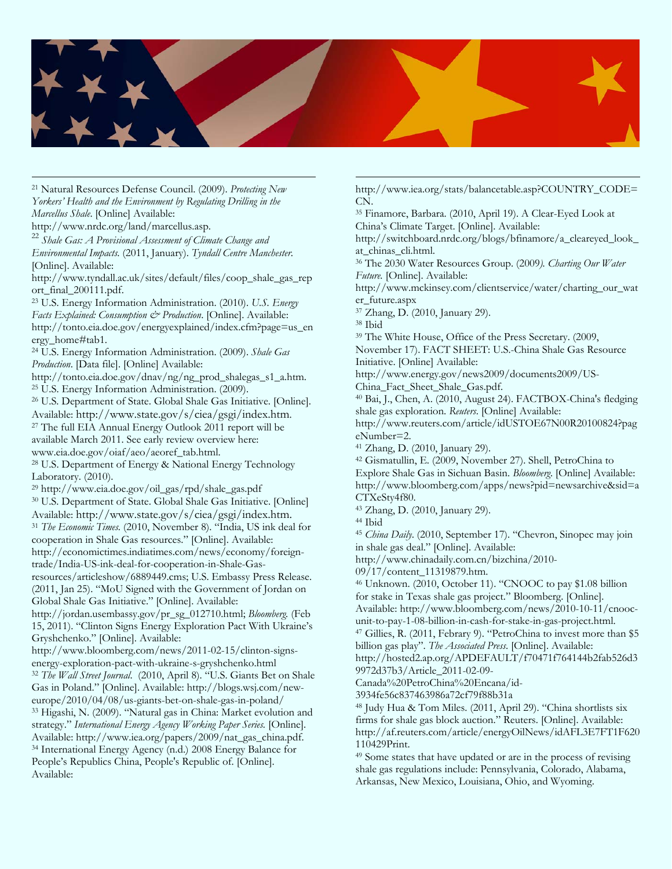

21 Natural Resources Defense Council. (2009). *Protecting New Yorkers' Health and the Environment by Regulating Drilling in the Marcellus Shale*. [Online] Available:

http://www.nrdc.org/land/marcellus.asp. 22 *Shale Gas: A Provisional Assessment of Climate Change and* 

*Environmental Impacts*. (2011, January). *Tyndall Centre Manchester*. [Online]. Available:

http://www.tyndall.ac.uk/sites/default/files/coop\_shale\_gas\_rep ort\_final\_200111.pdf.

23 U.S. Energy Information Administration. (2010). *U.S. Energy Facts Explained: Consumption & Production*. [Online]. Available: http://tonto.eia.doe.gov/energyexplained/index.cfm?page=us\_en ergy\_home#tab1.

24 U.S. Energy Information Administration. (2009). *Shale Gas Production*. [Data file]. [Online] Available:

http://tonto.eia.doe.gov/dnav/ng/ng\_prod\_shalegas\_s1\_a.htm. 25 U.S. Energy Information Administration. (2009).

26 U.S. Department of State. Global Shale Gas Initiative. [Online]. Available: http://www.state.gov/s/ciea/gsgi/index.htm. 27 The full EIA Annual Energy Outlook 2011 report will be available March 2011. See early review overview here:

www.eia.doe.gov/oiaf/aeo/aeoref\_tab.html. 28 U.S. Department of Energy & National Energy Technology Laboratory. (2010).<br><sup>29</sup> http://www.eia.doe.gov/oil\_gas/rpd/shale\_gas.pdf

<sup>30</sup> U.S. Department of State. Global Shale Gas Initiative. [Online] Available: http://www.state.gov/s/ciea/gsgi/index.htm.

<sup>31</sup> *The Economic Times.* (2010, November 8). "India, US ink deal for cooperation in Shale Gas resources." [Online]. Available:

http://economictimes.indiatimes.com/news/economy/foreigntrade/India-US-ink-deal-for-cooperation-in-Shale-Gas-

resources/articleshow/6889449.cms; U.S. Embassy Press Release. (2011, Jan 25). "MoU Signed with the Government of Jordan on Global Shale Gas Initiative." [Online]. Available:

http://jordan.usembassy.gov/pr\_sg\_012710.html; *Bloomberg.* (Feb 15, 2011). "Clinton Signs Energy Exploration Pact With Ukraine's Gryshchenko." [Online]. Available:

http://www.bloomberg.com/news/2011-02-15/clinton-signsenergy-exploration-pact-with-ukraine-s-gryshchenko.html 32 *The Wall Street Journal*. (2010, April 8). "U.S. Giants Bet on Shale

Gas in Poland." [Online]. Available: http://blogs.wsj.com/new-

europe/2010/04/08/us-giants-bet-on-shale-gas-in-poland/ 33 Higashi, N. (2009). "Natural gas in China: Market evolution and strategy." *International Energy Agency Working Paper Series.* [Online]. Available: http://www.iea.org/papers/2009/nat\_gas\_china.pdf. 34 International Energy Agency (n.d.) 2008 Energy Balance for People's Republics China, People's Republic of. [Online]. Available:

http://www.iea.org/stats/balancetable.asp?COUNTRY\_CODE= CN.

35 Finamore, Barbara. (2010, April 19). A Clear-Eyed Look at China's Climate Target. [Online]. Available:

http://switchboard.nrdc.org/blogs/bfinamore/a\_cleareyed\_look\_ at chinas cli.html.

36 The 2030 Water Resources Group. (2009*). Charting Our Water Future.* [Online]. Available:

http://www.mckinsey.com/clientservice/water/charting\_our\_wat er\_future.aspx

37 Zhang, D. (2010, January 29).

38 Ibid

39 The White House, Office of the Press Secretary. (2009,

November 17). FACT SHEET: U.S.-China Shale Gas Resource Initiative. [Online] Available:

http://www.energy.gov/news2009/documents2009/US-

China\_Fact\_Sheet\_Shale\_Gas.pdf.

40 Bai, J., Chen, A. (2010, August 24). FACTBOX-China's fledging shale gas exploration. *Reuters*. [Online] Available:

http://www.reuters.com/article/idUSTOE67N00R20100824?pag eNumber=2.

41 Zhang, D. (2010, January 29).

42 Gismatullin, E. (2009, November 27). Shell, PetroChina to Explore Shale Gas in Sichuan Basin. *Bloomberg*. [Online] Available: http://www.bloomberg.com/apps/news?pid=newsarchive&sid=a CTXeSty4f80.

43 Zhang, D. (2010, January 29).

44 Ibid

<sup>45</sup> *China Daily*. (2010, September 17). "Chevron, Sinopec may join in shale gas deal." [Online]. Available:

http://www.chinadaily.com.cn/bizchina/2010-

09/17/content\_11319879.htm.

46 Unknown. (2010, October 11). "CNOOC to pay \$1.08 billion for stake in Texas shale gas project." Bloomberg. [Online].

Available: http://www.bloomberg.com/news/2010-10-11/cnoocunit-to-pay-1-08-billion-in-cash-for-stake-in-gas-project.html. 47 Gillies, R. (2011, Febrary 9). "PetroChina to invest more than \$5

billion gas play". *The Associated Press*. [Online]. Available:

http://hosted2.ap.org/APDEFAULT/f70471f764144b2fab526d3 9972d37b3/Article\_2011-02-09-

Canada%20PetroChina%20Encana/id-

3934fe56c837463986a72cf79f88b31a

48 Judy Hua & Tom Miles. (2011, April 29). "China shortlists six firms for shale gas block auction." Reuters. [Online]. Available: http://af.reuters.com/article/energyOilNews/idAFL3E7FT1F620 110429Print.

49 Some states that have updated or are in the process of revising shale gas regulations include: Pennsylvania, Colorado, Alabama, Arkansas, New Mexico, Louisiana, Ohio, and Wyoming.